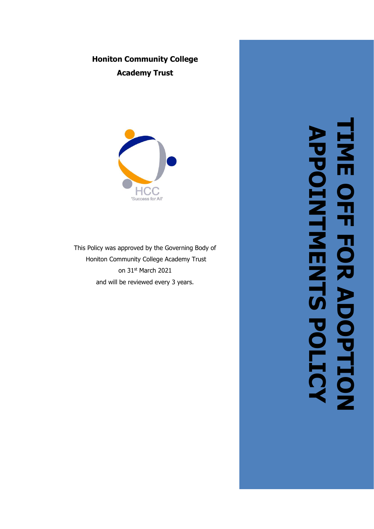# **Honiton Community College Academy Trust**



This Policy was approved by the Governing Body of Honiton Community College Academy Trust on 31<sup>st</sup> March 2021 and will be reviewed every 3 years.

**TIME OFF FOR ADOPTION TIME OFF FOR ADOPTION APPOINTMENTS POLICY**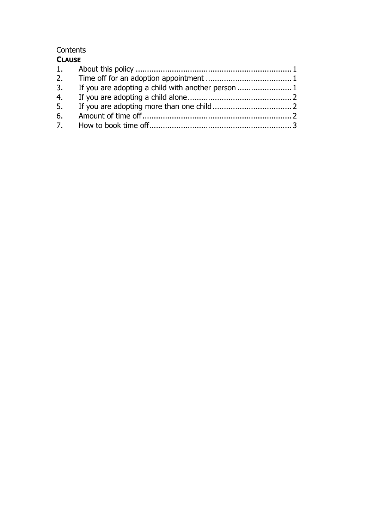#### **Contents CLAUSE**

| <b>CLAUJL</b> |  |  |
|---------------|--|--|
|               |  |  |
|               |  |  |
| 3.            |  |  |
|               |  |  |
| 5.            |  |  |
|               |  |  |
|               |  |  |
|               |  |  |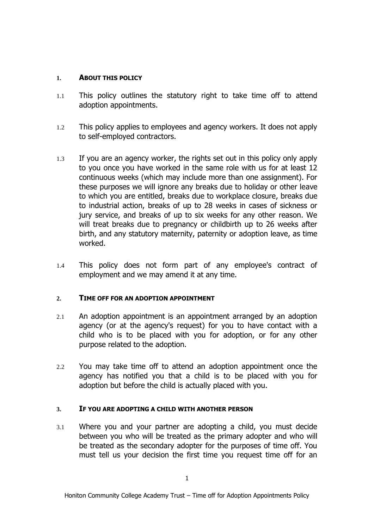# **1. ABOUT THIS POLICY**

- 1.1 This policy outlines the statutory right to take time off to attend adoption appointments.
- 1.2 This policy applies to employees and agency workers. It does not apply to self-employed contractors.
- 1.3 If you are an agency worker, the rights set out in this policy only apply to you once you have worked in the same role with us for at least 12 continuous weeks (which may include more than one assignment). For these purposes we will ignore any breaks due to holiday or other leave to which you are entitled, breaks due to workplace closure, breaks due to industrial action, breaks of up to 28 weeks in cases of sickness or jury service, and breaks of up to six weeks for any other reason. We will treat breaks due to pregnancy or childbirth up to 26 weeks after birth, and any statutory maternity, paternity or adoption leave, as time worked.
- 1.4 This policy does not form part of any employee's contract of employment and we may amend it at any time.

# **2. TIME OFF FOR AN ADOPTION APPOINTMENT**

- 2.1 An adoption appointment is an appointment arranged by an adoption agency (or at the agency's request) for you to have contact with a child who is to be placed with you for adoption, or for any other purpose related to the adoption.
- 2.2 You may take time off to attend an adoption appointment once the agency has notified you that a child is to be placed with you for adoption but before the child is actually placed with you.

# **3. IF YOU ARE ADOPTING A CHILD WITH ANOTHER PERSON**

3.1 Where you and your partner are adopting a child, you must decide between you who will be treated as the primary adopter and who will be treated as the secondary adopter for the purposes of time off. You must tell us your decision the first time you request time off for an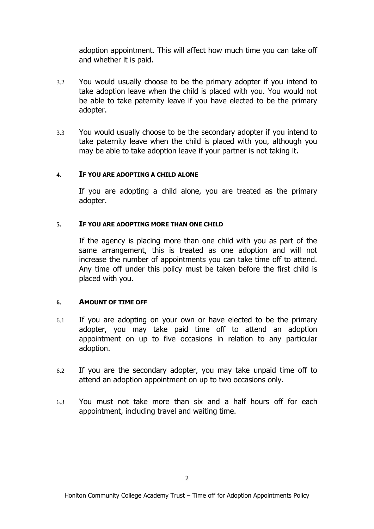adoption appointment. This will affect how much time you can take off and whether it is paid.

- 3.2 You would usually choose to be the primary adopter if you intend to take adoption leave when the child is placed with you. You would not be able to take paternity leave if you have elected to be the primary adopter.
- 3.3 You would usually choose to be the secondary adopter if you intend to take paternity leave when the child is placed with you, although you may be able to take adoption leave if your partner is not taking it.

## **4. IF YOU ARE ADOPTING A CHILD ALONE**

If you are adopting a child alone, you are treated as the primary adopter.

## **5. IF YOU ARE ADOPTING MORE THAN ONE CHILD**

If the agency is placing more than one child with you as part of the same arrangement, this is treated as one adoption and will not increase the number of appointments you can take time off to attend. Any time off under this policy must be taken before the first child is placed with you.

# **6. AMOUNT OF TIME OFF**

- 6.1 If you are adopting on your own or have elected to be the primary adopter, you may take paid time off to attend an adoption appointment on up to five occasions in relation to any particular adoption.
- 6.2 If you are the secondary adopter, you may take unpaid time off to attend an adoption appointment on up to two occasions only.
- 6.3 You must not take more than six and a half hours off for each appointment, including travel and waiting time.